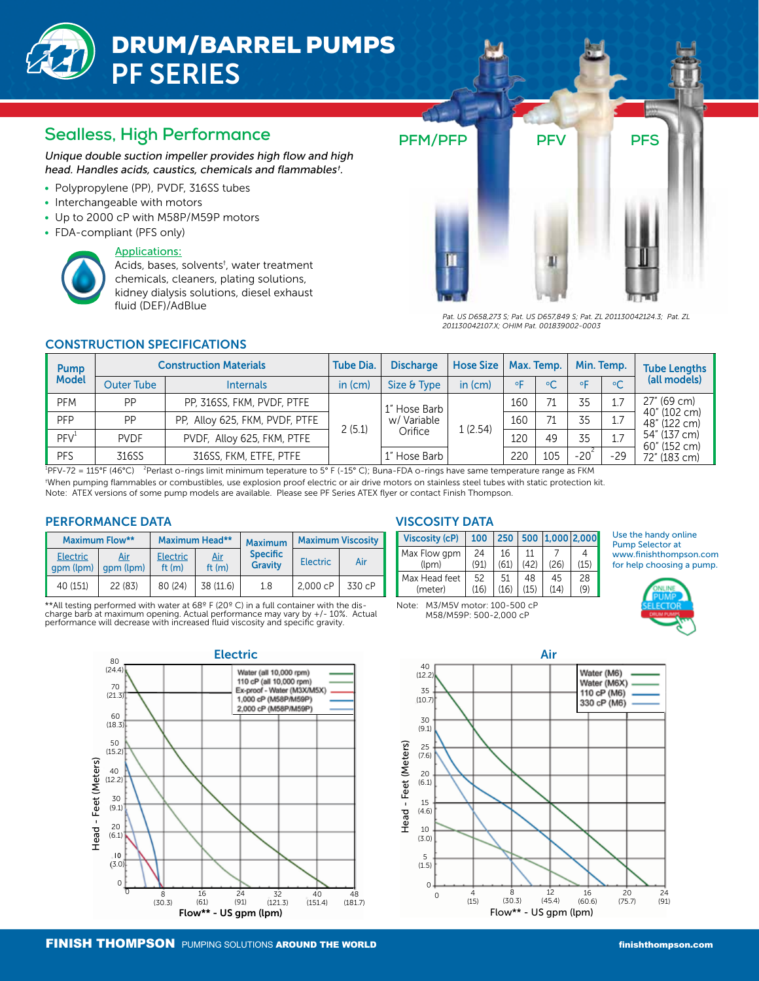# DRUM/BARREL PUMPS PF SERIES

# **Sealless, High Performance**

Unique double suction impeller provides high flow and high head. Handles acids, caustics, chemicals and flammables† .

- Polypropylene (PP), PVDF, 316SS tubes
- Interchangeable with motors
- Up to 2000 cP with M58P/M59P motors
- FDA-compliant (PFS only)

#### Applications:

Acids, bases, solvents<sup>†</sup>, water treatment chemicals, cleaners, plating solutions, kidney dialysis solutions, diesel exhaust fluid (DEF)/AdBlue



*Pat. US D658,273 S; Pat. US D657,849 S; Pat. ZL 201130042124.3; Pat. ZL 201130042107.X; OHIM Pat. 001839002-0003*

### CONSTRUCTION SPECIFICATIONS

| <b>Pump</b><br><b>Model</b> | <b>Construction Materials</b> |                                | <b>Tube Dia.</b> | <b>Discharge</b>                       | <b>Hose Size</b> | Max. Temp. |           | Min. Temp. |                | <b>Tube Lengths</b>                          |                              |
|-----------------------------|-------------------------------|--------------------------------|------------------|----------------------------------------|------------------|------------|-----------|------------|----------------|----------------------------------------------|------------------------------|
|                             | Outer Tube                    | <b>Internals</b>               | in (cm)          | Size & Type                            | in (cm)          | $\circ$    | $\circ$ C | oΓ         | $\circ$ C      | (all models)                                 |                              |
| <b>PFM</b>                  | PP                            | PP, 316SS, FKM, PVDF, PTFE     |                  | 1" Hose Barb<br>w/ Variable<br>Orifice |                  | 160        | 71        | 35         | 1.7            | 27" (69 cm)                                  |                              |
| <b>PFP</b>                  | PP                            | PP, Alloy 625, FKM, PVDF, PTFE | 2(5.1)           |                                        |                  |            | 160       | 71         | 35             | 1.7                                          | 40" (102 cm)<br>48" (122 cm) |
| PFV <sup>1</sup>            | <b>PVDF</b>                   | PVDF, Alloy 625, FKM, PTFE     |                  |                                        | 1(2.54)          | 120        | 49        | 35         | $\overline{7}$ | 54" (137 cm)<br>60" (152 cm)<br>72" (183 cm) |                              |
| <b>PFS</b>                  | 316SS                         | 316SS, FKM, ETFE, PTFE         |                  | 1" Hose Barb                           |                  | 220        | 105       | $-202$     | $-29$          |                                              |                              |

 $^{1}$ PFV-72 = 115°F (46°C)  $^{2}$ <sup>2</sup> Perlast o-rings limit minimum teperature to 5° F (-15° C); Buna-FDA o-rings have same temperature range as FKM † When pumping flammables or combustibles, use explosion proof electric or air drive motors on stainless steel tubes with static protection kit.

Note: ATEX versions of some pump models are available. Please see PF Series ATEX flyer or contact Finish Thompson.

#### PERFORMANCE DATA

|                              | <b>Maximum Flow**</b> |                             | Maximum Head**         | <b>Maximum</b>                    | <b>Maximum Viscosity</b> |        |  |
|------------------------------|-----------------------|-----------------------------|------------------------|-----------------------------------|--------------------------|--------|--|
| <b>Electric</b><br>qpm (lpm) | Air<br>qpm (lpm)      | <b>Electric</b><br>ft $(m)$ | <u>Air</u><br>ft $(m)$ | <b>Specific</b><br><b>Gravity</b> | <b>Electric</b>          | Air    |  |
| 40 (151)                     | 22 (83)               | 80 (24)                     | 38 (11.6)              | 1.8                               | 2.000 cP                 | 330 cP |  |

\*\*All testing performed with water at 68º F (20º C) in a full container with the discharge barb at maximum opening. Actual performance may vary by +/- 10%. Actual performance will decrease with increased fluid viscosity and specific gravity.

# VISCOSITY DATA

| <b>Viscosity (cP)</b> | 100  |      |    | 250   500   1,000   2,000 |      |
|-----------------------|------|------|----|---------------------------|------|
| Max Flow gpm          | 24   | 16   | 11 |                           |      |
| (l <sub>pm</sub> )    | (91) | (61) |    | (26)                      | (15) |
| Max Head feet         | 52   | 51   | 48 | 45                        | 28   |
| (meter)               | (16) | 116  | 15 | (14)                      | (9)  |
|                       |      |      |    |                           |      |

Note: M3/M5V motor: 100-500 cP M58/M59P: 500-2,000 cP

Use the handy online Pump Selector at www.finishthompson.com for help choosing a pump.